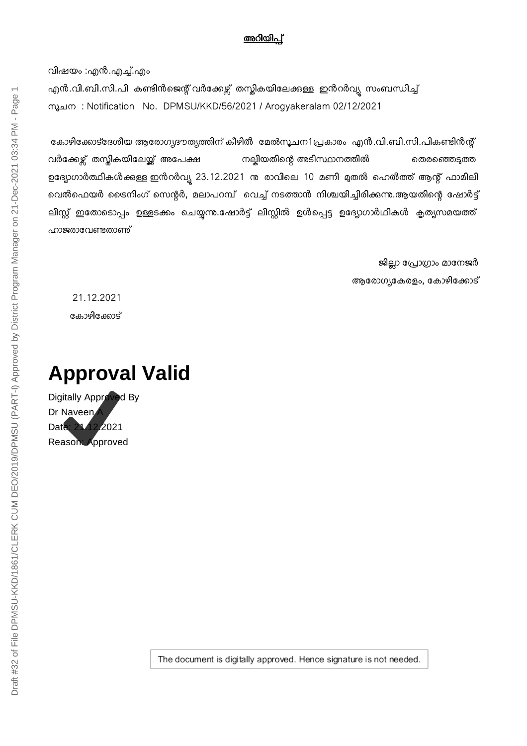## അറിയിപ്

വിഷയം :എൻ.എ്.എം എൻ.വി.ബി.സി.പി കണ്ടിൻജെന്റ് വർക്കേഴ്സ് തസ്തികയിലേക്കുള്ള ഇൻറർവ്യ സംബന്ധിച്ച് mൂചന : Notification No. DPMSU/KKD/56/2021 / Arogyakeralam 02/12/2021

കോഴിക്കോട്ദേശീയ ആരോഗ്യദൗത്യത്തിന് കീഴിൽ മേൽസൂചന1പ്രകാരം എൻ.വി.ബി.സി.പികണ്ടിൻന്റ് വർക്കേഴ്ച് തസ്കികയിലേയ്ക്ക് അപേക്ഷ നല്ലിയതിന്റെ അടിസ്ഥാനത്തിൽ തെരഞ്ഞെടുത്ത ഉദ്യോഗാർത്ഥികൾക്കുള്ള ഇൻറർവ്യ 23.12.2021 നു രാവിലെ 10 മണി മുതൽ ഹെൽത്ത് ആന്റ് ഫാമിലി വെൽഫെയർ ട്രൈനിംഗ് സെന്റർ, മലാപറമ്പ് വെച്ച് നടത്താൻ നിശ്ചയിച്ചിരിക്കുന്നു.ആയതിന്റെ ഷോർട്ട് ലിസ്റ്റ് ഇതോടൊപ്പം ഉള്ളടക്കം ചെയ്യന്ന.ഷോർട്ട് ലിസ്റ്റിൽ ഉൾപ്പെട്ട ഉദ്യോഗാർഥികൾ കൃത്യസമയത്ത് ഹാജരാവേണ്ടതാണ്

> ജില്ലാ പ്രോഗ്രാം മാനേജർ ആരോഗ്യകേരളം, കോഴിക്കോട്

21.12.2021 കോഴിക്കോട്

## **Approval Valid**

Digitally Approved By Dr Naveen Date: 21.12.2021 Reason: Approved

The document is digitally approved. Hence signature is not needed.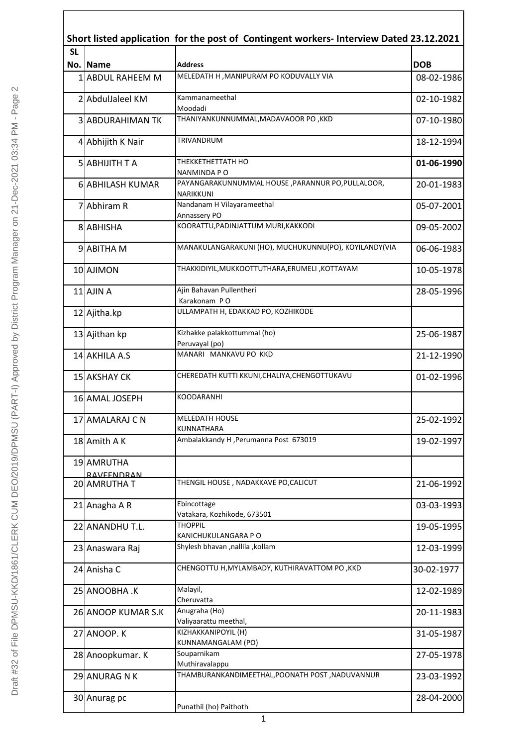|    |                                   | Short listed application for the post of Contingent workers- Interview Dated 23.12.2021<br><b>SL</b> |            |  |  |  |
|----|-----------------------------------|------------------------------------------------------------------------------------------------------|------------|--|--|--|
|    | No. Name                          | <b>Address</b>                                                                                       | <b>DOB</b> |  |  |  |
|    | 1 ABDUL RAHEEM M                  | MELEDATH H , MANIPURAM PO KODUVALLY VIA                                                              | 08-02-1986 |  |  |  |
|    | 2 AbdulJaleel KM                  | Kammanameethal                                                                                       | 02-10-1982 |  |  |  |
|    |                                   | Moodadi                                                                                              |            |  |  |  |
|    | <b>3 ABDURAHIMAN TK</b>           | THANIYANKUNNUMMAL, MADAVAOOR PO, KKD                                                                 | 07-10-1980 |  |  |  |
|    | 4 Abhijith K Nair                 | TRIVANDRUM                                                                                           | 18-12-1994 |  |  |  |
|    | 5 ABHIJITH T A                    | THEKKETHETTATH HO<br>NANMINDA PO                                                                     | 01-06-1990 |  |  |  |
|    | 6 ABHILASH KUMAR                  | PAYANGARAKUNNUMMAL HOUSE , PARANNUR PO, PULLALOOR,<br>NARIKKUNI                                      | 20-01-1983 |  |  |  |
|    | 7 Abhiram R                       | Nandanam H Vilayarameethal                                                                           | 05-07-2001 |  |  |  |
|    |                                   | Annassery PO                                                                                         |            |  |  |  |
|    | 8 ABHISHA                         | KOORATTU, PADINJATTUM MURI, KAKKODI                                                                  | 09-05-2002 |  |  |  |
|    | 9 ABITHA M                        | MANAKULANGARAKUNI (HO), MUCHUKUNNU(PO), KOYILANDY(VIA                                                | 06-06-1983 |  |  |  |
|    | 10 AJIMON                         | THAKKIDIYIL, MUKKOOTTUTHARA, ERUMELI, KOTTAYAM                                                       | 10-05-1978 |  |  |  |
|    |                                   | Ajin Bahavan Pullentheri                                                                             |            |  |  |  |
|    | $11$ AJIN A                       | Karakonam PO                                                                                         | 28-05-1996 |  |  |  |
|    | 12 Ajitha.kp                      | ULLAMPATH H, EDAKKAD PO, KOZHIKODE                                                                   |            |  |  |  |
|    | 13 Ajithan kp                     | Kizhakke palakkottummal (ho)                                                                         | 25-06-1987 |  |  |  |
|    |                                   | Peruvayal (po)                                                                                       |            |  |  |  |
|    | 14 AKHILA A.S                     | MANARI MANKAVU PO KKD                                                                                | 21-12-1990 |  |  |  |
|    | 15 AKSHAY CK                      | CHEREDATH KUTTI KKUNI, CHALIYA, CHENGOTTUKAVU                                                        | 01-02-1996 |  |  |  |
|    | 16 AMAL JOSEPH                    | KOODARANHI                                                                                           |            |  |  |  |
| 17 | <b>AMALARAJ C N</b>               | MELEDATH HOUSE                                                                                       | 25-02-1992 |  |  |  |
|    |                                   | KUNNATHARA                                                                                           |            |  |  |  |
|    | 18 Amith A K                      | Ambalakkandy H, Perumanna Post 673019                                                                | 19-02-1997 |  |  |  |
|    | 19 AMRUTHA                        |                                                                                                      |            |  |  |  |
|    | <b>RAVEENDRAN</b><br>20 AMRUTHA T | THENGIL HOUSE, NADAKKAVE PO, CALICUT                                                                 | 21-06-1992 |  |  |  |
|    |                                   | Ebincottage                                                                                          |            |  |  |  |
|    | 21 Anagha A R                     | Vatakara, Kozhikode, 673501                                                                          | 03-03-1993 |  |  |  |
|    | 22 ANANDHU T.L.                   | <b>THOPPIL</b>                                                                                       | 19-05-1995 |  |  |  |
|    |                                   | KANICHUKULANGARA P O                                                                                 |            |  |  |  |
|    | 23 Anaswara Raj                   | Shylesh bhavan , nallila , kollam                                                                    | 12-03-1999 |  |  |  |
|    | 24 Anisha C                       | CHENGOTTU H, MYLAMBADY, KUTHIRAVATTOM PO, KKD                                                        | 30-02-1977 |  |  |  |
|    | 25 ANOOBHA .K                     | Malayil,                                                                                             | 12-02-1989 |  |  |  |
|    | 26 ANOOP KUMAR S.K                | Cheruvatta<br>Anugraha (Ho)                                                                          | 20-11-1983 |  |  |  |
|    | 27 ANOOP. K                       | Valiyaarattu meethal,<br>KIZHAKKANIPOYIL (H)                                                         | 31-05-1987 |  |  |  |
|    |                                   | KUNNAMANGALAM (PO)                                                                                   |            |  |  |  |
|    | 28 Anoopkumar. K                  | Souparnikam<br>Muthiravalappu                                                                        | 27-05-1978 |  |  |  |
|    | 29 ANURAG N K                     | THAMBURANKANDIMEETHAL, POONATH POST, NADUVANNUR                                                      | 23-03-1992 |  |  |  |
|    |                                   |                                                                                                      |            |  |  |  |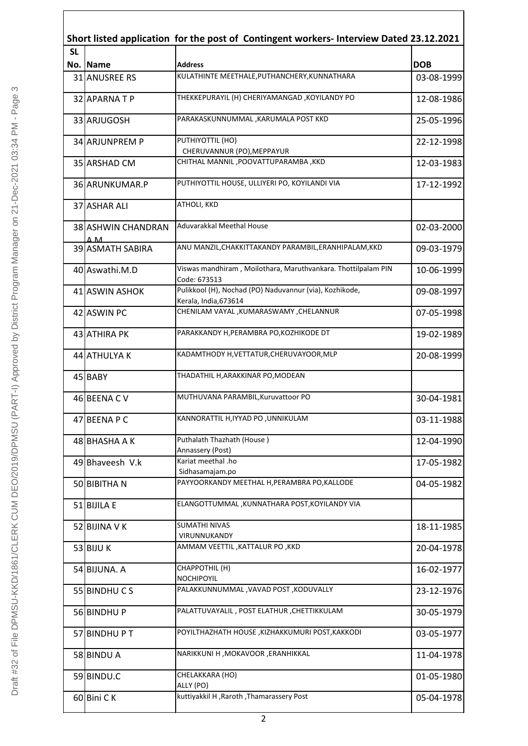|           |                                     | Short listed application for the post of Contingent workers- Interview Dated 23.12.2021 |            |
|-----------|-------------------------------------|-----------------------------------------------------------------------------------------|------------|
| <b>SL</b> | No. Name                            | <b>Address</b>                                                                          | <b>DOB</b> |
|           | <b>31 ANUSREE RS</b>                | KULATHINTE MEETHALE, PUTHANCHERY, KUNNATHARA                                            | 03-08-1999 |
|           | 32 APARNATP                         | THEKKEPURAYIL (H) CHERIYAMANGAD, KOYILANDY PO                                           | 12-08-1986 |
|           | 33 ARJUGOSH                         | PARAKASKUNNUMMAL, KARUMALA POST KKD                                                     | 25-05-1996 |
|           | 34 ARJUNPREM P                      | PUTHIYOTTIL (HO)<br>CHERUVANNUR (PO), MEPPAYUR                                          | 22-12-1998 |
|           | 35 ARSHAD CM                        | CHITHAL MANNIL , POOVATTUPARAMBA , KKD                                                  | 12-03-1983 |
|           | 36 ARUNKUMAR.P                      | PUTHIYOTTIL HOUSE, ULLIYERI PO, KOYILANDI VIA                                           | 17-12-1992 |
|           | 37 ASHAR ALI                        | ATHOLI, KKD                                                                             |            |
|           | 38 ASHWIN CHANDRAN                  | Aduvarakkal Meethal House                                                               | 02-03-2000 |
|           | ΔM <sub>1</sub><br>39 ASMATH SABIRA | ANU MANZIL, CHAKKITTAKANDY PARAMBIL, ERANHIPALAM, KKD                                   | 09-03-1979 |
|           | 40 Aswathi.M.D                      | Viswas mandhiram, Moilothara, Maruthvankara. Thottilpalam PIN                           | 10-06-1999 |
|           | 41 ASWIN ASHOK                      | Code: 673513<br>Pulikkool (H), Nochad (PO) Naduvannur (via), Kozhikode,                 | 09-08-1997 |
|           | 42 ASWIN PC                         | Kerala, India, 673614<br>CHENILAM VAYAL, KUMARASWAMY, CHELANNUR                         | 07-05-1998 |
|           | 43 ATHIRA PK                        | PARAKKANDY H, PERAMBRA PO, KOZHIKODE DT                                                 | 19-02-1989 |
|           | 44 ATHULYA K                        | KADAMTHODY H, VETTATUR, CHERUVAYOOR, MLP                                                | 20-08-1999 |
|           | 45 BABY                             | THADATHIL H, ARAKKINAR PO, MODEAN                                                       |            |
|           | 46 BEENA C V                        | MUTHUVANA PARAMBIL, Kuruvattoor PO                                                      | 30-04-1981 |
|           | 47 BEENA P C                        | KANNORATTIL H, IYYAD PO, UNNIKULAM                                                      | 03-11-1988 |
|           | 48 BHASHA A K                       | Puthalath Thazhath (House)                                                              | 12-04-1990 |
|           | 49 Bhaveesh V.k                     | Annassery (Post)<br>Kariat meethal .ho                                                  | 17-05-1982 |
|           |                                     | Sidhasamajam.po                                                                         |            |
|           | 50 BIBITHAN                         | PAYYOORKANDY MEETHAL H, PERAMBRA PO, KALLODE                                            | 04-05-1982 |
|           | 51 BIJILA E                         | ELANGOTTUMMAL, KUNNATHARA POST, KOYILANDY VIA                                           |            |
|           | 52 BIJINA V K                       | <b>SUMATHI NIVAS</b><br>VIRUNNUKANDY                                                    | 18-11-1985 |
|           | 53 BIJU K                           | AMMAM VEETTIL , KATTALUR PO , KKD                                                       | 20-04-1978 |
|           | 54 BIJUNA. A                        | CHAPPOTHIL (H)<br>NOCHIPOYIL                                                            | 16-02-1977 |
|           | 55 BINDHUCS                         | PALAKKUNNUMMAL , VAVAD POST , KODUVALLY                                                 | 23-12-1976 |
|           | 56 BINDHU P                         | PALATTUVAYALIL, POST ELATHUR, CHETTIKKULAM                                              | 30-05-1979 |
|           | 57 BINDHUPT                         | POYILTHAZHATH HOUSE , KIZHAKKUMURI POST, KAKKODI                                        | 03-05-1977 |
|           | 58 BINDU A                          | NARIKKUNI H, MOKAVOOR, ERANHIKKAL                                                       | 11-04-1978 |
|           | 59 BINDU.C                          | CHELAKKARA (HO)<br>ALLY (PO)                                                            | 01-05-1980 |
|           | 60 Bini CK                          | kuttiyakkil H, Raroth, Thamarassery Post                                                | 05-04-1978 |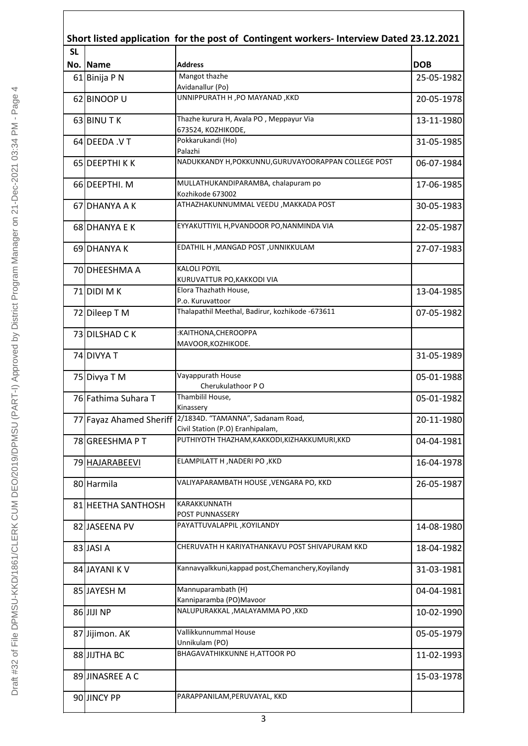| Short listed application for the post of Contingent workers- Interview Dated 23.12.2021<br><b>SL</b> |                         |                                                                       |            |  |
|------------------------------------------------------------------------------------------------------|-------------------------|-----------------------------------------------------------------------|------------|--|
|                                                                                                      | No. Name                | <b>Address</b>                                                        | <b>DOB</b> |  |
|                                                                                                      | 61 Binija P N           | Mangot thazhe<br>Avidanallur (Po)                                     | 25-05-1982 |  |
|                                                                                                      | 62 BINOOP U             | UNNIPPURATH H , PO MAYANAD , KKD                                      | 20-05-1978 |  |
|                                                                                                      | 63 BINU TK              | Thazhe kurura H, Avala PO, Meppayur Via<br>673524, KOZHIKODE,         | 13-11-1980 |  |
|                                                                                                      | 64 DEEDA .V T           | Pokkarukandi (Ho)                                                     | 31-05-1985 |  |
|                                                                                                      | 65 DEEPTHIKK            | Palazhi<br>NADUKKANDY H, POKKUNNU, GURUVAYOORAPPAN COLLEGE POST       | 06-07-1984 |  |
|                                                                                                      | 66 DEEPTHI. M           | MULLATHUKANDIPARAMBA, chalapuram po                                   | 17-06-1985 |  |
|                                                                                                      | 67 DHANYA A K           | Kozhikode 673002<br>ATHAZHAKUNNUMMAL VEEDU , MAKKADA POST             | 30-05-1983 |  |
|                                                                                                      | 68 DHANYA E K           | EYYAKUTTIYIL H, PVANDOOR PO, NANMINDA VIA                             | 22-05-1987 |  |
|                                                                                                      | 69 DHANYA K             | EDATHIL H, MANGAD POST, UNNIKKULAM                                    | 27-07-1983 |  |
|                                                                                                      | 70 DHEESHMA A           | <b>KALOLI POYIL</b>                                                   |            |  |
|                                                                                                      |                         | KURUVATTUR PO, KAKKODI VIA<br>Elora Thazhath House,                   |            |  |
|                                                                                                      | 71 DIDI M K             | P.o. Kuruvattoor                                                      | 13-04-1985 |  |
|                                                                                                      | 72 Dileep T M           | Thalapathil Meethal, Badirur, kozhikode -673611                       | 07-05-1982 |  |
|                                                                                                      | 73 DILSHAD C K          | :KAITHONA, CHEROOPPA<br>MAVOOR, KOZHIKODE.                            |            |  |
|                                                                                                      | 74 DIVYA T              |                                                                       | 31-05-1989 |  |
|                                                                                                      | 75 Divya T M            | Vayappurath House<br>Cherukulathoor PO                                | 05-01-1988 |  |
|                                                                                                      | 76 Fathima Suhara T     | Thambilil House,<br>Kinassery                                         | 05-01-1982 |  |
|                                                                                                      | 77 Fayaz Ahamed Sheriff | 2/1834D. "TAMANNA", Sadanam Road,<br>Civil Station (P.O) Eranhipalam, | 20-11-1980 |  |
|                                                                                                      | 78 GREESHMA P T         | PUTHIYOTH THAZHAM, KAKKODI, KIZHAKKUMURI, KKD                         | 04-04-1981 |  |
|                                                                                                      | 79 HAJARABEEVI          | ELAMPILATT H, NADERI PO, KKD                                          | 16-04-1978 |  |
|                                                                                                      | 80 Harmila              | VALIYAPARAMBATH HOUSE ,VENGARA PO, KKD                                | 26-05-1987 |  |
|                                                                                                      | 81 HEETHA SANTHOSH      | KARAKKUNNATH                                                          |            |  |
|                                                                                                      | 82 JASEENA PV           | POST PUNNASSERY<br>PAYATTUVALAPPIL, KOYILANDY                         | 14-08-1980 |  |
|                                                                                                      | 83 JASI A               | CHERUVATH H KARIYATHANKAVU POST SHIVAPURAM KKD                        | 18-04-1982 |  |
|                                                                                                      | 84 JAYANI K V           | Kannavyalkkuni, kappad post, Chemanchery, Koyilandy                   | 31-03-1981 |  |
|                                                                                                      | 85 JAYESH M             | Mannuparambath (H)                                                    | 04-04-1981 |  |
|                                                                                                      | 86 JIJI NP              | Kanniparamba (PO)Mavoor<br>NALUPURAKKAL, MALAYAMMA PO, KKD            | 10-02-1990 |  |
|                                                                                                      | 87 Jijimon. AK          | Vallikkunnummal House                                                 | 05-05-1979 |  |
|                                                                                                      | 88 JIJTHA BC            | Unnikulam (PO)<br>BHAGAVATHIKKUNNE H, ATTOOR PO                       | 11-02-1993 |  |
|                                                                                                      | 89 JINASREE A C         |                                                                       | 15-03-1978 |  |
|                                                                                                      | 90 JINCY PP             | PARAPPANILAM, PERUVAYAL, KKD                                          |            |  |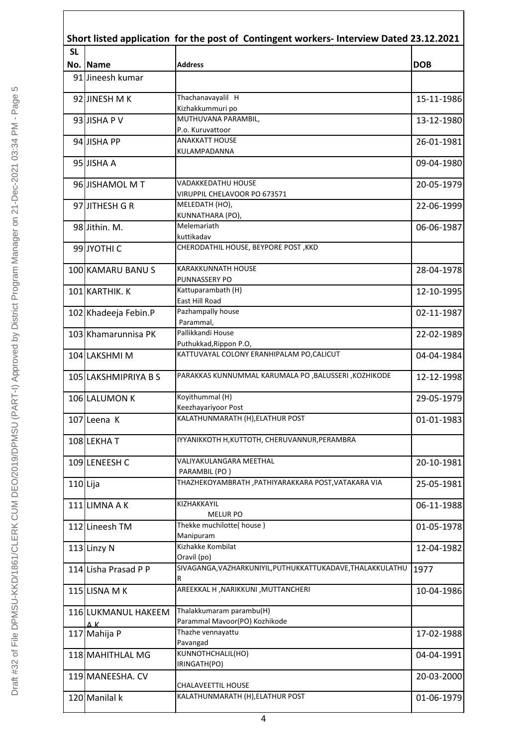|            | Short listed application for the post of Contingent workers- Interview Dated 23.12.2021 |                                                                 |            |  |  |
|------------|-----------------------------------------------------------------------------------------|-----------------------------------------------------------------|------------|--|--|
| <b>SL</b>  |                                                                                         |                                                                 |            |  |  |
|            | No. Mame                                                                                | <b>Address</b>                                                  | <b>DOB</b> |  |  |
|            | 91 Jineesh kumar                                                                        |                                                                 |            |  |  |
|            | 92 JINESH M K                                                                           | Thachanavayalil H<br>Kizhakkummuri po                           | 15-11-1986 |  |  |
|            | 93 JISHA P V                                                                            | MUTHUVANA PARAMBIL,<br>P.o. Kuruvattoor                         | 13-12-1980 |  |  |
|            | 94 JISHA PP                                                                             | <b>ANAKKATT HOUSE</b><br>KULAMPADANNA                           | 26-01-1981 |  |  |
|            | 95 JISHA A                                                                              |                                                                 | 09-04-1980 |  |  |
|            | 96 JISHAMOL MT                                                                          | VADAKKEDATHU HOUSE<br>VIRUPPIL CHELAVOOR PO 673571              | 20-05-1979 |  |  |
|            | 97JJITHESH G R                                                                          | MELEDATH (HO),<br>KUNNATHARA (PO),                              | 22-06-1999 |  |  |
|            | 98Jithin. M.                                                                            | Melemariath<br>kuttikadav                                       | 06-06-1987 |  |  |
|            | 99 JYOTHI C                                                                             | CHERODATHIL HOUSE, BEYPORE POST, KKD                            |            |  |  |
|            | 100 KAMARU BANUS                                                                        | <b>KARAKKUNNATH HOUSE</b><br>PUNNASSERY PO                      | 28-04-1978 |  |  |
|            | 101 KARTHIK. K                                                                          | Kattuparambath (H)<br>East Hill Road                            | 12-10-1995 |  |  |
|            | 102 Khadeeja Febin.P                                                                    | Pazhampally house<br>Parammal,                                  | 02-11-1987 |  |  |
|            | 103 Khamarunnisa PK                                                                     | Pallikkandi House<br>Puthukkad, Rippon P.O,                     | 22-02-1989 |  |  |
|            | 104 LAKSHMI M                                                                           | KATTUVAYAL COLONY ERANHIPALAM PO, CALICUT                       | 04-04-1984 |  |  |
|            | 105 LAKSHMIPRIYA B S                                                                    | PARAKKAS KUNNUMMAL KARUMALA PO ,BALUSSERI ,KOZHIKODE            | 12-12-1998 |  |  |
|            | 106 LALUMON K                                                                           | Koyithummal (H)<br>Keezhayariyoor Post                          | 29-05-1979 |  |  |
|            | 107 Leena K                                                                             | KALATHUNMARATH (H), ELATHUR POST                                | 01-01-1983 |  |  |
|            | 108 LEKHAT                                                                              | IYYANIKKOTH H, KUTTOTH, CHERUVANNUR, PERAMBRA                   |            |  |  |
|            | 109 LENEESH C                                                                           | VALIYAKULANGARA MEETHAL<br>PARAMBIL (PO)                        | 20-10-1981 |  |  |
| $110$ Lija |                                                                                         | THAZHEKOYAMBRATH , PATHIYARAKKARA POST, VATAKARA VIA            | 25-05-1981 |  |  |
|            | 111 LIMNA A K                                                                           | KIZHAKKAYIL<br><b>MELUR PO</b>                                  | 06-11-1988 |  |  |
|            | 112 Lineesh TM                                                                          | Thekke muchilotte( house)<br>Manipuram                          | 01-05-1978 |  |  |
|            | 113 Linzy N                                                                             | Kizhakke Kombilat<br>Oravil (po)                                | 12-04-1982 |  |  |
|            | 114 Lisha Prasad P P                                                                    | SIVAGANGA, VAZHARKUNIYIL, PUTHUKKATTUKADAVE, THALAKKULATHU<br>R | 1977       |  |  |
|            | 115 LISNA MK                                                                            | AREEKKAL H, NARIKKUNI, MUTTANCHERI                              | 10-04-1986 |  |  |
|            | 116 LUKMANUL HAKEEM<br>AK.                                                              | Thalakkumaram parambu(H)<br>Parammal Mavoor(PO) Kozhikode       |            |  |  |
|            | 117 Mahija P                                                                            | Thazhe vennayattu<br>Pavangad                                   | 17-02-1988 |  |  |
|            | 118 MAHITHLAL MG                                                                        | KUNNOTHCHALIL(HO)<br>IRINGATH(PO)                               | 04-04-1991 |  |  |
|            | 119 MANEESHA. CV                                                                        | <b>CHALAVEETTIL HOUSE</b>                                       | 20-03-2000 |  |  |
|            | 120 Manilal k                                                                           | KALATHUNMARATH (H), ELATHUR POST                                | 01-06-1979 |  |  |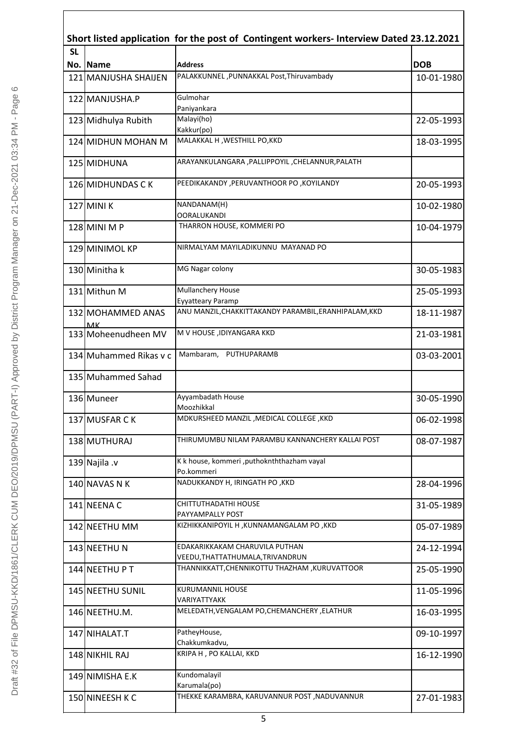| Short listed application for the post of Contingent workers- Interview Dated 23.12.2021 |                                  |                                                                            |            |  |
|-----------------------------------------------------------------------------------------|----------------------------------|----------------------------------------------------------------------------|------------|--|
| <b>SL</b>                                                                               | No. Name                         | <b>Address</b>                                                             | <b>DOB</b> |  |
|                                                                                         | 121 MANJUSHA SHAIJEN             | PALAKKUNNEL, PUNNAKKAL Post, Thiruvambady                                  | 10-01-1980 |  |
|                                                                                         | 122 MANJUSHA.P                   | Gulmohar                                                                   |            |  |
|                                                                                         |                                  | Paniyankara                                                                |            |  |
|                                                                                         | 123 Midhulya Rubith              | Malayi(ho)<br>Kakkur(po)                                                   | 22-05-1993 |  |
|                                                                                         | 124 MIDHUN MOHAN M               | MALAKKAL H, WESTHILL PO, KKD                                               | 18-03-1995 |  |
|                                                                                         | 125 MIDHUNA                      | ARAYANKULANGARA , PALLIPPOYIL , CHELANNUR, PALATH                          |            |  |
|                                                                                         | 126 MIDHUNDAS CK                 | PEEDIKAKANDY, PERUVANTHOOR PO, KOYILANDY                                   | 20-05-1993 |  |
|                                                                                         | 127 MINI K                       | NANDANAM(H)<br><b>OORALUKANDI</b>                                          | 10-02-1980 |  |
|                                                                                         | 128 MINI M P                     | THARRON HOUSE, KOMMERI PO                                                  | 10-04-1979 |  |
|                                                                                         | 129 MINIMOL KP                   | NIRMALYAM MAYILADIKUNNU MAYANAD PO                                         |            |  |
|                                                                                         | 130 Minitha k                    | MG Nagar colony                                                            | 30-05-1983 |  |
|                                                                                         | 131 Mithun M                     | Mullanchery House                                                          | 25-05-1993 |  |
|                                                                                         | 132 MOHAMMED ANAS                | Eyyatteary Paramp<br>ANU MANZIL, CHAKKITTAKANDY PARAMBIL, ERANHIPALAM, KKD | 18-11-1987 |  |
|                                                                                         | <b>MK</b><br>133 Moheenudheen MV | M V HOUSE , IDIYANGARA KKD                                                 | 21-03-1981 |  |
|                                                                                         | 134 Muhammed Rikas v c           | Mambaram, PUTHUPARAMB                                                      | 03-03-2001 |  |
|                                                                                         | 135 Muhammed Sahad               |                                                                            |            |  |
|                                                                                         | 136 Muneer                       | Ayyambadath House                                                          | 30-05-1990 |  |
|                                                                                         | 137 MUSFAR C K                   | Moozhikkal<br>MDKURSHEED MANZIL, MEDICAL COLLEGE, KKD                      | 06-02-1998 |  |
|                                                                                         | 138 MUTHURAJ                     | THIRUMUMBU NILAM PARAMBU KANNANCHERY KALLAI POST                           | 08-07-1987 |  |
|                                                                                         | 139 Najila .v                    | K k house, kommeri, puthoknththazham vayal                                 |            |  |
|                                                                                         |                                  | Po.kommeri<br>NADUKKANDY H, IRINGATH PO, KKD                               |            |  |
|                                                                                         | 140 NAVAS N K                    |                                                                            | 28-04-1996 |  |
|                                                                                         | 141 NEENA C                      | CHITTUTHADATHI HOUSE<br>PAYYAMPALLY POST                                   | 31-05-1989 |  |
|                                                                                         | 142 NEETHU MM                    | KIZHIKKANIPOYIL H ,KUNNAMANGALAM PO ,KKD                                   | 05-07-1989 |  |
|                                                                                         | 143 NEETHU N                     | EDAKARIKKAKAM CHARUVILA PUTHAN<br>VEEDU, THATTATHUMALA, TRIVANDRUN         | 24-12-1994 |  |
|                                                                                         | 144 NEETHU PT                    | THANNIKKATT,CHENNIKOTTU THAZHAM ,KURUVATTOOR                               | 25-05-1990 |  |
|                                                                                         | 145 NEETHU SUNIL                 | KURUMANNIL HOUSE<br>VARIYATTYAKK                                           | 11-05-1996 |  |
|                                                                                         | 146 NEETHU.M.                    | MELEDATH, VENGALAM PO, CHEMANCHERY, ELATHUR                                | 16-03-1995 |  |
|                                                                                         | 147 NIHALAT.T                    | PatheyHouse,<br>Chakkumkadvu,                                              | 09-10-1997 |  |
|                                                                                         | 148 NIKHIL RAJ                   | KRIPA H, PO KALLAI, KKD                                                    | 16-12-1990 |  |
|                                                                                         | 149 NIMISHA E.K                  | Kundomalayil                                                               |            |  |
|                                                                                         |                                  | Karumala(po)                                                               |            |  |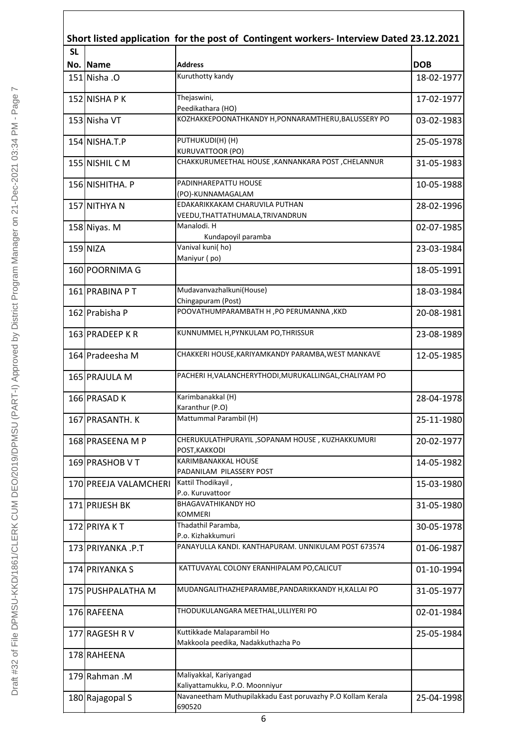|           |                       | Short listed application for the post of Contingent workers- Interview Dated 23.12.2021 |            |
|-----------|-----------------------|-----------------------------------------------------------------------------------------|------------|
| <b>SL</b> |                       |                                                                                         |            |
|           | No. Name              | <b>Address</b>                                                                          | <b>DOB</b> |
|           | 151 Nisha . O         | Kuruthotty kandy                                                                        | 18-02-1977 |
|           | 152 NISHA P K         | Thejaswini,                                                                             | 17-02-1977 |
|           | 153 Nisha VT          | Peedikathara (HO)<br>KOZHAKKEPOONATHKANDY H, PONNARAMTHERU, BALUSSERY PO                | 03-02-1983 |
|           |                       |                                                                                         |            |
|           | 154 NISHA.T.P         | PUTHUKUDI(H) (H)<br><b>KURUVATTOOR (PO)</b>                                             | 25-05-1978 |
|           | 155 NISHIL C M        | CHAKKURUMEETHAL HOUSE, KANNANKARA POST, CHELANNUR                                       | 31-05-1983 |
|           |                       |                                                                                         |            |
|           | 156 NISHITHA. P       | PADINHAREPATTU HOUSE                                                                    | 10-05-1988 |
|           |                       | (PO)-KUNNAMAGALAM                                                                       |            |
|           | 157 NITHYA N          | EDAKARIKKAKAM CHARUVILA PUTHAN                                                          | 28-02-1996 |
|           |                       | VEEDU, THATTATHUMALA, TRIVANDRUN<br>Manalodi. H                                         |            |
|           | 158 Niyas. M          | Kundapoyil paramba                                                                      | 02-07-1985 |
|           | $159$ NIZA            | Vanival kuni(ho)                                                                        |            |
|           |                       | Maniyur (po)                                                                            | 23-03-1984 |
|           | 160 POORNIMA G        |                                                                                         | 18-05-1991 |
|           |                       |                                                                                         |            |
|           | 161 PRABINA PT        | Mudavanvazhalkuni(House)                                                                | 18-03-1984 |
|           |                       | Chingapuram (Post)                                                                      |            |
|           | 162 Prabisha P        | POOVATHUMPARAMBATH H, PO PERUMANNA, KKD                                                 | 20-08-1981 |
|           |                       | KUNNUMMEL H, PYNKULAM PO, THRISSUR                                                      |            |
|           | 163 PRADEEP KR        |                                                                                         | 23-08-1989 |
|           | 164 Pradeesha M       | CHAKKERI HOUSE, KARIYAMKANDY PARAMBA, WEST MANKAVE                                      | 12-05-1985 |
|           | 165 PRAJULA M         | PACHERI H, VALANCHERYTHODI, MURUKALLINGAL, CHALIYAM PO                                  |            |
|           | 166 PRASAD K          | Karimbanakkal (H)                                                                       | 28-04-1978 |
|           |                       | Karanthur (P.O)                                                                         |            |
|           | 167 PRASANTH. K       | Mattummal Parambil (H)                                                                  | 25-11-1980 |
|           | 168 PRASEENA M P      | CHERUKULATHPURAYIL, SOPANAM HOUSE, KUZHAKKUMURI                                         | 20-02-1977 |
|           |                       | POST, KAKKODI                                                                           |            |
|           | 169 PRASHOB V T       | KARIMBANAKKAL HOUSE                                                                     | 14-05-1982 |
|           |                       | PADANILAM PILASSERY POST                                                                |            |
|           | 170 PREEJA VALAMCHERI | Kattil Thodikayil,                                                                      | 15-03-1980 |
|           |                       | P.o. Kuruvattoor                                                                        |            |
|           | 171 PRIJESH BK        | <b>BHAGAVATHIKANDY HO</b>                                                               | 31-05-1980 |
|           |                       | KOMMERI                                                                                 |            |
|           | 172 PRIYA KT          | Thadathil Paramba,                                                                      | 30-05-1978 |
|           |                       | P.o. Kizhakkumuri                                                                       |            |
|           | 173 PRIYANKA .P.T     | PANAYULLA KANDI. KANTHAPURAM. UNNIKULAM POST 673574                                     | 01-06-1987 |
|           | 174 PRIYANKA S        | KATTUVAYAL COLONY ERANHIPALAM PO, CALICUT                                               | 01-10-1994 |
|           |                       | MUDANGALITHAZHEPARAMBE, PANDARIKKANDY H, KALLAI PO                                      |            |
|           | 175 PUSHPALATHA M     |                                                                                         | 31-05-1977 |
|           | 176 RAFEENA           | THODUKULANGARA MEETHAL, ULLIYERI PO                                                     | 02-01-1984 |
|           | 177 RAGESH R V        | Kuttikkade Malaparambil Ho                                                              | 25-05-1984 |
|           |                       | Makkoola peedika, Nadakkuthazha Po                                                      |            |
|           | 178 RAHEENA           |                                                                                         |            |
|           |                       | Maliyakkal, Kariyangad                                                                  |            |
|           | 179 Rahman .M         | Kaliyattamukku, P.O. Moonniyur                                                          |            |
|           | 180 Rajagopal S       | Navaneetham Muthupilakkadu East poruvazhy P.O Kollam Kerala                             | 25-04-1998 |
|           |                       | 690520                                                                                  |            |
|           |                       |                                                                                         |            |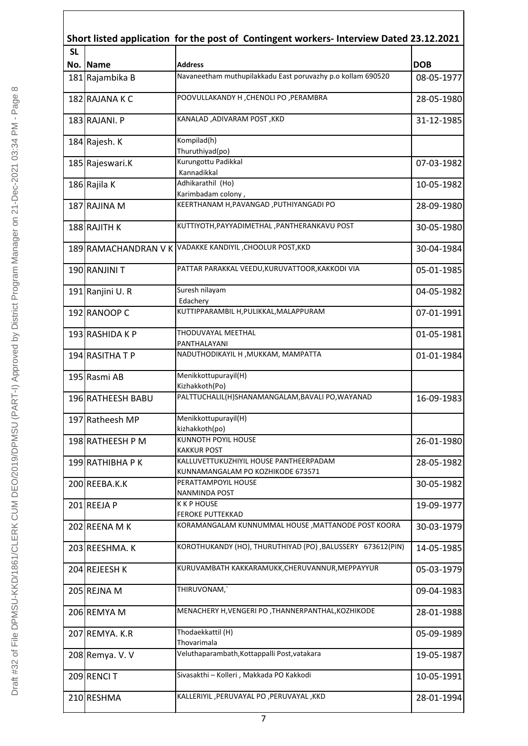| <b>SL</b> |                   |                                                                             |            |
|-----------|-------------------|-----------------------------------------------------------------------------|------------|
|           | No. Name          | <b>Address</b>                                                              | <b>DOB</b> |
|           | 181 Rajambika B   | Navaneetham muthupilakkadu East poruvazhy p.o kollam 690520                 | 08-05-1977 |
|           | 182 RAJANA K C    | POOVULLAKANDY H, CHENOLI PO, PERAMBRA                                       | 28-05-1980 |
|           | 183 RAJANI. P     | KANALAD, ADIVARAM POST, KKD                                                 | 31-12-1985 |
|           | 184 Rajesh. K     | Kompilad(h)<br>Thuruthiyad(po)                                              |            |
|           | 185 Rajeswari.K   | Kurungottu Padikkal<br>Kannadikkal                                          | 07-03-1982 |
|           | 186 Rajila K      | Adhikarathil (Ho)<br>Karimbadam colony,                                     | 10-05-1982 |
|           | 187 RAJINA M      | KEERTHANAM H, PAVANGAD, PUTHIYANGADI PO                                     | 28-09-1980 |
|           | 188 RAJITH K      | KUTTIYOTH, PAYYADIMETHAL, PANTHERANKAVU POST                                | 30-05-1980 |
|           |                   | 189 RAMACHANDRAN V K VADAKKE KANDIYIL , CHOOLUR POST, KKD                   | 30-04-1984 |
|           | 190 RANJINI T     | PATTAR PARAKKAL VEEDU, KURUVATTOOR, KAKKODI VIA                             | 05-01-1985 |
|           | 191 Ranjini U.R   | Suresh nilayam<br>Edachery                                                  | 04-05-1982 |
|           | 192 RANOOP C      | KUTTIPPARAMBIL H, PULIKKAL, MALAPPURAM                                      | 07-01-1991 |
|           | 193 RASHIDA K P   | THODUVAYAL MEETHAL<br>PANTHALAYANI                                          | 01-05-1981 |
|           | 194 RASITHA T P   | NADUTHODIKAYIL H, MUKKAM, MAMPATTA                                          | 01-01-1984 |
|           | 195 Rasmi AB      | Menikkottupurayil(H)<br>Kizhakkoth(Po)                                      |            |
|           | 196 RATHEESH BABU | PALTTUCHALIL(H)SHANAMANGALAM, BAVALI PO, WAYANAD                            | 16-09-1983 |
|           | 197 Ratheesh MP   | Menikkottupurayil(H)<br>kizhakkoth(po)                                      |            |
|           | 198 RATHEESH P M  | KUNNOTH POYIL HOUSE<br><b>KAKKUR POST</b>                                   | 26-01-1980 |
|           | 199 RATHIBHA P K  | KALLUVETTUKUZHIYIL HOUSE PANTHEERPADAM<br>KUNNAMANGALAM PO KOZHIKODE 673571 | 28-05-1982 |
|           | 200 REEBA.K.K     | PERATTAMPOYIL HOUSE<br>NANMINDA POST                                        | 30-05-1982 |
|           | 201REEJA P        | <b>K K P HOUSE</b><br><b>FEROKE PUTTEKKAD</b>                               | 19-09-1977 |
|           | 202 REENA M K     | KORAMANGALAM KUNNUMMAL HOUSE, MATTANODE POST KOORA                          | 30-03-1979 |
|           | 203 REESHMA. K    | KOROTHUKANDY (HO), THURUTHIYAD (PO), BALUSSERY 673612(PIN)                  | 14-05-1985 |
|           | 204 REJEESH K     | KURUVAMBATH KAKKARAMUKK, CHERUVANNUR, MEPPAYYUR                             | 05-03-1979 |
|           | 205 REJNA M       | THIRUVONAM,                                                                 | 09-04-1983 |
|           | 206 REMYA M       | MENACHERY H, VENGERI PO, THANNERPANTHAL, KOZHIKODE                          | 28-01-1988 |
|           | 207 REMYA. K.R    | Thodaekkattil (H)<br>Thovarimala                                            | 05-09-1989 |
|           | 208 Remya. V. V   | Veluthaparambath, Kottappalli Post, vatakara                                | 19-05-1987 |
|           | 209 RENCIT        | Sivasakthi - Kolleri, Makkada PO Kakkodi                                    | 10-05-1991 |
|           | 210 RESHMA        | KALLERIYIL , PERUVAYAL PO , PERUVAYAL , KKD                                 | 28-01-1994 |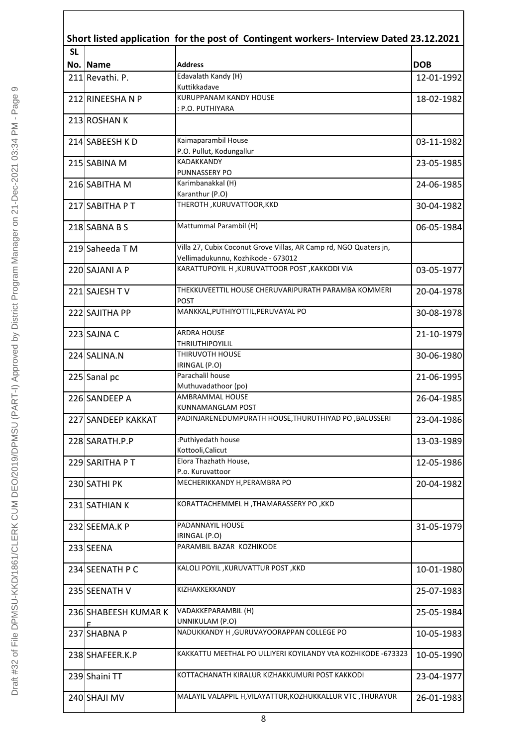| Short listed application for the post of Contingent workers- Interview Dated 23.12.2021 |                      |                                                                                                         |            |  |
|-----------------------------------------------------------------------------------------|----------------------|---------------------------------------------------------------------------------------------------------|------------|--|
| <b>SL</b>                                                                               | No. Name             | <b>Address</b>                                                                                          | <b>DOB</b> |  |
|                                                                                         | 211 Revathi. P.      | Edavalath Kandy (H)<br>Kuttikkadave                                                                     | 12-01-1992 |  |
|                                                                                         | 212 RINEESHANP       | <b>KURUPPANAM KANDY HOUSE</b><br>: P.O. PUTHIYARA                                                       | 18-02-1982 |  |
|                                                                                         | 213 ROSHAN K         |                                                                                                         |            |  |
|                                                                                         | 214 SABEESH KD       | Kaimaparambil House<br>P.O. Pullut, Kodungallur                                                         | 03-11-1982 |  |
|                                                                                         | 215 SABINA M         | KADAKKANDY<br><b>PUNNASSERY PO</b>                                                                      | 23-05-1985 |  |
|                                                                                         | 216 SABITHA M        | Karimbanakkal (H)<br>Karanthur (P.O)                                                                    | 24-06-1985 |  |
|                                                                                         | 217 SABITHA PT       | THEROTH , KURUVATTOOR, KKD                                                                              | 30-04-1982 |  |
|                                                                                         | 218 SABNA B S        | Mattummal Parambil (H)                                                                                  | 06-05-1984 |  |
|                                                                                         | 219 Saheeda T M      | Villa 27, Cubix Coconut Grove Villas, AR Camp rd, NGO Quaters jn,<br>Vellimadukunnu, Kozhikode - 673012 |            |  |
|                                                                                         | 220 SAJANI A P       | KARATTUPOYIL H , KURUVATTOOR POST , KAKKODI VIA                                                         | 03-05-1977 |  |
|                                                                                         | 221 SAJESH TV        | THEKKUVEETTIL HOUSE CHERUVARIPURATH PARAMBA KOMMERI<br>POST                                             | 20-04-1978 |  |
|                                                                                         | 222 SAJITHA PP       | MANKKAL, PUTHIYOTTIL, PERUVAYAL PO                                                                      | 30-08-1978 |  |
|                                                                                         | 223 SAJNA C          | <b>ARDRA HOUSE</b><br><b>THRIUTHIPOYILIL</b>                                                            | 21-10-1979 |  |
|                                                                                         | 224 SALINA.N         | THIRUVOTH HOUSE<br>IRINGAL (P.O)                                                                        | 30-06-1980 |  |
|                                                                                         | 225 Sanal pc         | Parachalil house<br>Muthuvadathoor (po)                                                                 | 21-06-1995 |  |
|                                                                                         | 226 SANDEEP A        | AMBRAMMAL HOUSE<br>KUNNAMANGLAM POST                                                                    | 26-04-1985 |  |
|                                                                                         | 227 SANDEEP KAKKAT   | PADINJARENEDUMPURATH HOUSE, THURUTHIYAD PO, BALUSSERI                                                   | 23-04-1986 |  |
|                                                                                         | 228 SARATH.P.P       | :Puthiyedath house                                                                                      | 13-03-1989 |  |
|                                                                                         | 229 SARITHA PT       | Kottooli, Calicut<br>Elora Thazhath House,                                                              | 12-05-1986 |  |
|                                                                                         | 230 SATHI PK         | P.o. Kuruvattoor<br>MECHERIKKANDY H, PERAMBRA PO                                                        | 20-04-1982 |  |
|                                                                                         | 231 SATHIAN K        | KORATTACHEMMEL H , THAMARASSERY PO , KKD                                                                |            |  |
|                                                                                         | 232 SEEMA.K P        | PADANNAYIL HOUSE                                                                                        | 31-05-1979 |  |
|                                                                                         | 233 SEENA            | IRINGAL (P.O)<br>PARAMBIL BAZAR KOZHIKODE                                                               |            |  |
|                                                                                         | 234 SEENATH P C      | KALOLI POYIL , KURUVATTUR POST, KKD                                                                     | 10-01-1980 |  |
|                                                                                         | 235 SEENATH V        | KIZHAKKEKKANDY                                                                                          | 25-07-1983 |  |
|                                                                                         | 236 SHABEESH KUMAR K | VADAKKEPARAMBIL (H)                                                                                     | 25-05-1984 |  |
|                                                                                         | E.<br>237 SHABNA P   | UNNIKULAM (P.O)<br>NADUKKANDY H , GURUVAYOORAPPAN COLLEGE PO                                            | 10-05-1983 |  |
|                                                                                         | 238 SHAFEER.K.P      | KAKKATTU MEETHAL PO ULLIYERI KOYILANDY VtA KOZHIKODE -673323                                            | 10-05-1990 |  |
|                                                                                         | 239 Shaini TT        | KOTTACHANATH KIRALUR KIZHAKKUMURI POST KAKKODI                                                          | 23-04-1977 |  |
|                                                                                         | 240 SHAJI MV         | MALAYIL VALAPPIL H, VILAYATTUR, KOZHUKKALLUR VTC, THURAYUR                                              | 26-01-1983 |  |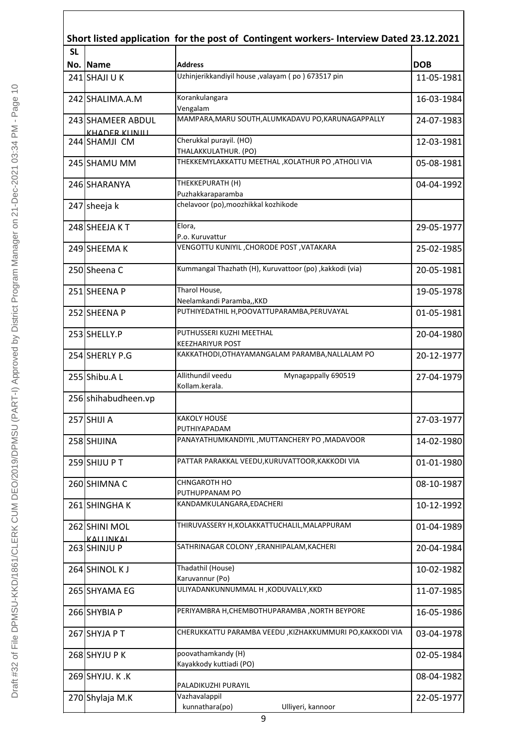| Short listed application for the post of Contingent workers- Interview Dated 23.12.2021 |                                  |                                                                |            |  |
|-----------------------------------------------------------------------------------------|----------------------------------|----------------------------------------------------------------|------------|--|
| <b>SL</b>                                                                               | No. Name                         | <b>Address</b>                                                 | <b>DOB</b> |  |
|                                                                                         | $241$ SHAJI U K                  | Uzhinjerikkandiyil house , valayam (po) 673517 pin             | 11-05-1981 |  |
|                                                                                         | 242 SHALIMA.A.M                  | Korankulangara                                                 | 16-03-1984 |  |
|                                                                                         | 243 SHAMEER ABDUL                | Vengalam<br>MAMPARA, MARU SOUTH, ALUMKADAVU PO, KARUNAGAPPALLY | 24-07-1983 |  |
|                                                                                         | KHADER KUNILL<br>244 SHAMJI CM   | Cherukkal purayil. (HO)                                        | 12-03-1981 |  |
|                                                                                         |                                  | THALAKKULATHUR. (PO)                                           |            |  |
|                                                                                         | 245 SHAMU MM                     | THEKKEMYLAKKATTU MEETHAL , KOLATHUR PO , ATHOLI VIA            | 05-08-1981 |  |
|                                                                                         | 246 SHARANYA                     | THEKKEPURATH (H)                                               | 04-04-1992 |  |
|                                                                                         |                                  | Puzhakkaraparamba<br>chelavoor (po), moozhikkal kozhikode      |            |  |
|                                                                                         | 247 sheeja k                     |                                                                |            |  |
|                                                                                         | 248 SHEEJA KT                    | Elora,<br>P.o. Kuruvattur                                      | 29-05-1977 |  |
|                                                                                         | 249 SHEEMA K                     | VENGOTTU KUNIYIL ,CHORODE POST ,VATAKARA                       | 25-02-1985 |  |
|                                                                                         | 250 Sheena C                     | Kummangal Thazhath (H), Kuruvattoor (po), kakkodi (via)        | 20-05-1981 |  |
|                                                                                         | 251 SHEENA P                     | Tharol House,                                                  | 19-05-1978 |  |
|                                                                                         |                                  | Neelamkandi Paramba,, KKD                                      |            |  |
|                                                                                         | 252 SHEENA P                     | PUTHIYEDATHIL H, POOVATTUPARAMBA, PERUVAYAL                    | 01-05-1981 |  |
|                                                                                         | 253 SHELLY.P                     | PUTHUSSERI KUZHI MEETHAL<br><b>KEEZHARIYUR POST</b>            | 20-04-1980 |  |
|                                                                                         | 254 SHERLY P.G                   | KAKKATHODI, OTHAYAMANGALAM PARAMBA, NALLALAM PO                | 20-12-1977 |  |
|                                                                                         | 255 Shibu.AL                     | Allithundil veedu<br>Mynagappally 690519<br>Kollam.kerala.     | 27-04-1979 |  |
|                                                                                         | 256 shihabudheen.vp              |                                                                |            |  |
|                                                                                         | 257 SHIJI A                      | <b>KAKOLY HOUSE</b>                                            | 27-03-1977 |  |
|                                                                                         | 258 SHIJINA                      | PUTHIYAPADAM<br>PANAYATHUMKANDIYIL, MUTTANCHERY PO, MADAVOOR   |            |  |
|                                                                                         |                                  |                                                                | 14-02-1980 |  |
|                                                                                         | 259 SHIJU PT                     | PATTAR PARAKKAL VEEDU, KURUVATTOOR, KAKKODI VIA                | 01-01-1980 |  |
|                                                                                         | 260 SHIMNA C                     | CHNGAROTH HO<br>PUTHUPPANAM PO                                 | 08-10-1987 |  |
|                                                                                         | 261 SHINGHAK                     | KANDAMKULANGARA, EDACHERI                                      | 10-12-1992 |  |
|                                                                                         | 262 SHINI MOL                    | THIRUVASSERY H, KOLAKKATTUCHALIL, MALAPPURAM                   | 01-04-1989 |  |
|                                                                                         | <b>KALLINKAL</b><br>263 SHINJU P | SATHRINAGAR COLONY, ERANHIPALAM, KACHERI                       | 20-04-1984 |  |
|                                                                                         | 264 SHINOL KJ                    | Thadathil (House)                                              | 10-02-1982 |  |
|                                                                                         | 265 SHYAMA EG                    | Karuvannur (Po)<br>ULIYADANKUNNUMMAL H , KODUVALLY, KKD        | 11-07-1985 |  |
|                                                                                         |                                  |                                                                |            |  |
|                                                                                         | 266 SHYBIA P                     | PERIYAMBRA H, CHEMBOTHUPARAMBA, NORTH BEYPORE                  | 16-05-1986 |  |
|                                                                                         | 267 SHYJA P T                    | CHERUKKATTU PARAMBA VEEDU ,KIZHAKKUMMURI PO,KAKKODI VIA        | 03-04-1978 |  |
|                                                                                         | 268 SHYJU P K                    | poovathamkandy (H)<br>Kayakkody kuttiadi (PO)                  | 02-05-1984 |  |
|                                                                                         | 269 SHYJU. K.K                   |                                                                | 08-04-1982 |  |
|                                                                                         | 270 Shylaja M.K                  | PALADIKUZHI PURAYIL<br>Vazhavalappil                           | 22-05-1977 |  |
|                                                                                         |                                  | kunnathara(po)<br>Ulliyeri, kannoor                            |            |  |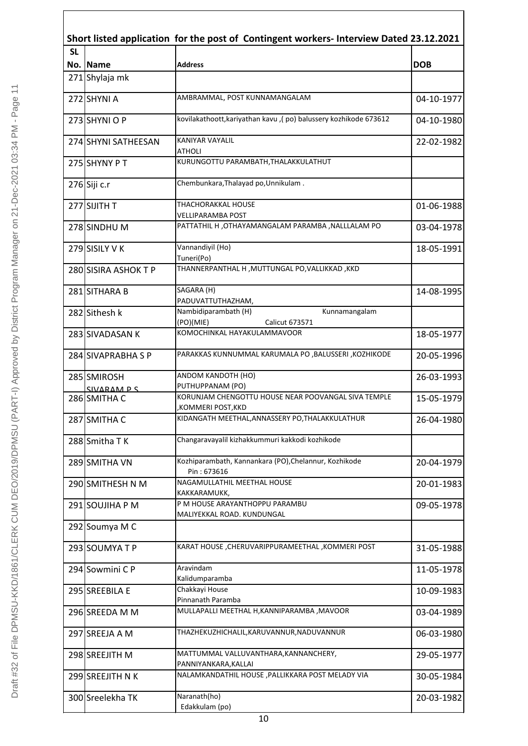| Short listed application for the post of Contingent workers- Interview Dated 23.12.2021 |                            |                                                                          |            |  |
|-----------------------------------------------------------------------------------------|----------------------------|--------------------------------------------------------------------------|------------|--|
| <b>SL</b>                                                                               |                            |                                                                          |            |  |
|                                                                                         | No. Name<br>271 Shylaja mk | <b>Address</b>                                                           | <b>DOB</b> |  |
|                                                                                         |                            |                                                                          |            |  |
|                                                                                         | 272 SHYNI A                | AMBRAMMAL, POST KUNNAMANGALAM                                            | 04-10-1977 |  |
|                                                                                         | 273 SHYNI O P              | kovilakathoott, kariyathan kavu, (po) balussery kozhikode 673612         | 04-10-1980 |  |
|                                                                                         | 274 SHYNI SATHEESAN        | <b>KANIYAR VAYALIL</b><br>ATHOLI                                         | 22-02-1982 |  |
|                                                                                         | 275 SHYNY PT               | KURUNGOTTU PARAMBATH, THALAKKULATHUT                                     |            |  |
|                                                                                         | 276 Siji c.r               | Chembunkara, Thalayad po, Unnikulam.                                     |            |  |
|                                                                                         | 277 SIJITH T               | <b>THACHORAKKAL HOUSE</b>                                                | 01-06-1988 |  |
|                                                                                         | 278 SINDHU M               | VELLIPARAMBA POST<br>PATTATHIL H , OTHAYAMANGALAM PARAMBA , NALLLALAM PO | 03-04-1978 |  |
|                                                                                         | 279 SISILY V K             | Vannandiyil (Ho)                                                         | 18-05-1991 |  |
|                                                                                         |                            | Tuneri(Po)                                                               |            |  |
|                                                                                         | 280 SISIRA ASHOK T P       | THANNERPANTHAL H, MUTTUNGAL PO, VALLIKKAD, KKD                           |            |  |
|                                                                                         | 281 SITHARA B              | SAGARA (H)<br>PADUVATTUTHAZHAM,                                          | 14-08-1995 |  |
|                                                                                         | 282 Sithesh k              | Nambidiparambath (H)<br>Kunnamangalam                                    |            |  |
|                                                                                         | 283 SIVADASAN K            | (PO)(MIE)<br>Calicut 673571<br>KOMOCHINKAL HAYAKULAMMAVOOR               | 18-05-1977 |  |
|                                                                                         | 284 SIVAPRABHA S P         | PARAKKAS KUNNUMMAL KARUMALA PO ,BALUSSERI ,KOZHIKODE                     | 20-05-1996 |  |
|                                                                                         | 285 SMIROSH                | ANDOM KANDOTH (HO)                                                       | 26-03-1993 |  |
|                                                                                         | SIVARAM P S                | PUTHUPPANAM (PO)                                                         |            |  |
|                                                                                         | 286 SMITHA C               | KORUNJAM CHENGOTTU HOUSE NEAR POOVANGAL SIVA TEMPLE<br>,KOMMERI POST,KKD | 15-05-1979 |  |
|                                                                                         | 287 SMITHA C               | KIDANGATH MEETHAL, ANNASSERY PO, THALAKKULATHUR                          | 26-04-1980 |  |
|                                                                                         | 288 Smitha T K             | Changaravayalil kizhakkummuri kakkodi kozhikode                          |            |  |
|                                                                                         | 289 SMITHA VN              | Kozhiparambath, Kannankara (PO), Chelannur, Kozhikode<br>Pin: 673616     | 20-04-1979 |  |
|                                                                                         | 290 SMITHESH N M           | NAGAMULLATHIL MEETHAL HOUSE                                              | 20-01-1983 |  |
|                                                                                         | 291 SOUJIHA P M            | KAKKARAMUKK,<br>P M HOUSE ARAYANTHOPPU PARAMBU                           | 09-05-1978 |  |
|                                                                                         | 292 Soumya M C             | MALIYEKKAL ROAD. KUNDUNGAL                                               |            |  |
|                                                                                         | 293 SOUMYATP               | KARAT HOUSE , CHERUVARIPPURAMEETHAL, KOMMERI POST                        | 31-05-1988 |  |
|                                                                                         | 294 Sowmini C P            | Aravindam                                                                | 11-05-1978 |  |
|                                                                                         | 295 SREEBILA E             | Kalidumparamba<br>Chakkayi House                                         | 10-09-1983 |  |
|                                                                                         | 296 SREEDA M M             | Pinnanath Paramba<br>MULLAPALLI MEETHAL H, KANNIPARAMBA, MAVOOR          | 03-04-1989 |  |
|                                                                                         |                            | THAZHEKUZHICHALIL,KARUVANNUR,NADUVANNUR                                  |            |  |
|                                                                                         | 297 SREEJA A M             |                                                                          | 06-03-1980 |  |
|                                                                                         | 298 SREEJITH M             | MATTUMMAL VALLUVANTHARA, KANNANCHERY,<br>PANNIYANKARA, KALLAI            | 29-05-1977 |  |
|                                                                                         | 299 SREEJITH N K           | NALAMKANDATHIL HOUSE, PALLIKKARA POST MELADY VIA                         | 30-05-1984 |  |
|                                                                                         | 300 Sreelekha TK           | Naranath(ho)                                                             | 20-03-1982 |  |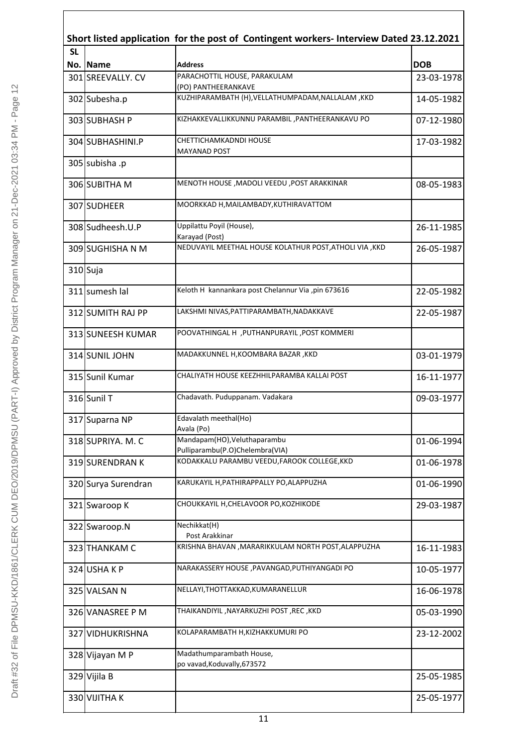|           | Short listed application for the post of Contingent workers- Interview Dated 23.12.2021 |                                                                                 |            |  |
|-----------|-----------------------------------------------------------------------------------------|---------------------------------------------------------------------------------|------------|--|
| <b>SL</b> |                                                                                         |                                                                                 |            |  |
|           | No. Name                                                                                | <b>Address</b>                                                                  | <b>DOB</b> |  |
|           | 301 SREEVALLY. CV                                                                       | PARACHOTTIL HOUSE, PARAKULAM<br>(PO) PANTHEERANKAVE                             | 23-03-1978 |  |
|           | 302 Subesha.p                                                                           | KUZHIPARAMBATH (H), VELLATHUMPADAM, NALLALAM, KKD                               | 14-05-1982 |  |
|           | 303 SUBHASH P                                                                           | KIZHAKKEVALLIKKUNNU PARAMBIL, PANTHEERANKAVU PO                                 | 07-12-1980 |  |
|           | 304 SUBHASHINI.P                                                                        | CHETTICHAMKADNDI HOUSE<br><b>MAYANAD POST</b>                                   | 17-03-1982 |  |
|           | 305 subisha .p                                                                          |                                                                                 |            |  |
|           | 306 SUBITHA M                                                                           | MENOTH HOUSE, MADOLI VEEDU, POST ARAKKINAR                                      | 08-05-1983 |  |
|           | 307 SUDHEER                                                                             | MOORKKAD H, MAILAMBADY, KUTHIRAVATTOM                                           |            |  |
|           | 308 Sudheesh.U.P                                                                        | Uppilattu Poyil (House),<br>Karayad (Post)                                      | 26-11-1985 |  |
|           | 309 SUGHISHA N M                                                                        | NEDUVAYIL MEETHAL HOUSE KOLATHUR POST, ATHOLI VIA , KKD                         | 26-05-1987 |  |
|           | 310 Suja                                                                                |                                                                                 |            |  |
|           | 311 sumesh lal                                                                          | Keloth H kannankara post Chelannur Via ,pin 673616                              | 22-05-1982 |  |
|           | 312 SUMITH RAJ PP                                                                       | LAKSHMI NIVAS, PATTIPARAMBATH, NADAKKAVE                                        | 22-05-1987 |  |
|           | 313 SUNEESH KUMAR                                                                       | POOVATHINGAL H , PUTHANPURAYIL , POST KOMMERI                                   |            |  |
|           | 314 SUNIL JOHN                                                                          | MADAKKUNNEL H, KOOMBARA BAZAR , KKD                                             | 03-01-1979 |  |
|           | 315 Sunil Kumar                                                                         | CHALIYATH HOUSE KEEZHHILPARAMBA KALLAI POST                                     | 16-11-1977 |  |
|           | 316 Sunil T                                                                             | Chadavath. Puduppanam. Vadakara                                                 | 09-03-1977 |  |
|           | 317 Suparna NP                                                                          | Edavalath meethal(Ho)<br>Avala (Po)                                             |            |  |
|           | 318 SUPRIYA. M. C                                                                       | Mandapam(HO), Veluthaparambu                                                    | 01-06-1994 |  |
|           | 319 SURENDRAN K                                                                         | Pulliparambu(P.O)Chelembra(VIA)<br>KODAKKALU PARAMBU VEEDU, FAROOK COLLEGE, KKD | 01-06-1978 |  |
|           | 320 Surya Surendran                                                                     | KARUKAYIL H, PATHIRAPPALLY PO, ALAPPUZHA                                        | 01-06-1990 |  |
|           | 321 Swaroop K                                                                           | CHOUKKAYIL H,CHELAVOOR PO,KOZHIKODE                                             | 29-03-1987 |  |
|           | 322 Swaroop.N                                                                           | Nechikkat(H)                                                                    |            |  |
|           | 323 THANKAM C                                                                           | Post Arakkinar<br>KRISHNA BHAVAN , MARARIKKULAM NORTH POST, ALAPPUZHA           | 16-11-1983 |  |
|           | 324 USHA KP                                                                             | NARAKASSERY HOUSE , PAVANGAD, PUTHIYANGADI PO                                   | 10-05-1977 |  |
|           | 325 VALSAN N                                                                            | NELLAYI, THOTTAKKAD, KUMARANELLUR                                               | 16-06-1978 |  |
|           | 326 VANASREE P M                                                                        | THAIKANDIYIL ,NAYARKUZHI POST ,REC ,KKD                                         | 05-03-1990 |  |
|           | 327 VIDHUKRISHNA                                                                        | KOLAPARAMBATH H, KIZHAKKUMURI PO                                                | 23-12-2002 |  |
|           | 328 Vijayan M P                                                                         | Madathumparambath House,<br>po vavad, Koduvally, 673572                         |            |  |
|           | 329 Vijila B                                                                            |                                                                                 | 25-05-1985 |  |
|           | 330 VIJITHA K                                                                           |                                                                                 | 25-05-1977 |  |